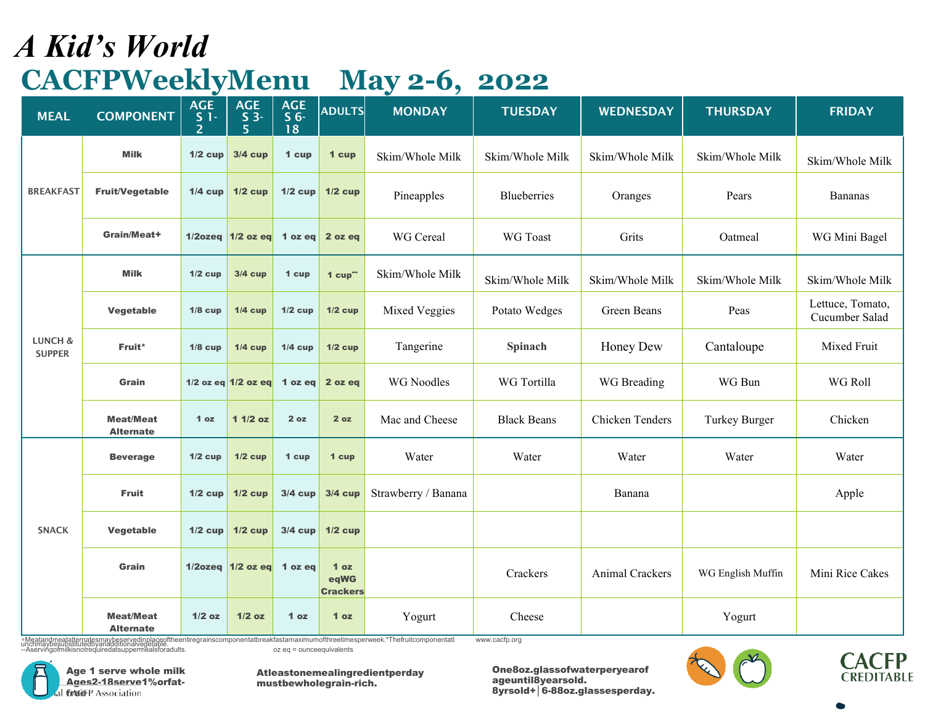#### *A Kid's World* **CACFPWeeklyMenu May 2-6, 2022**

| <b>MEAL</b>                         | <b>COMPONENT</b>                     | <b>AGE</b><br>$\frac{S}{2}$ 1 - | <b>AGE</b><br>$S_3$<br>$\overline{5}$ | <b>AGE</b><br>S <sub>6</sub><br>18 | <b>ADULTS</b>                              | <b>MONDAY</b>       | <b>TUESDAY</b>     | <b>WEDNESDAY</b> | <b>THURSDAY</b>   | <b>FRIDAY</b>                      |
|-------------------------------------|--------------------------------------|---------------------------------|---------------------------------------|------------------------------------|--------------------------------------------|---------------------|--------------------|------------------|-------------------|------------------------------------|
|                                     | <b>Milk</b>                          | $1/2$ cup                       | <b>3/4 cup</b>                        | 1 cup                              | 1 cup                                      | Skim/Whole Milk     | Skim/Whole Milk    | Skim/Whole Milk  | Skim/Whole Milk   | Skim/Whole Milk                    |
| <b>BREAKFAST</b>                    | <b>Fruit/Vegetable</b>               | $1/4$ cup                       | $1/2$ cup                             | $1/2$ cup                          | $1/2$ cup                                  | Pineapples          | <b>Blueberries</b> | Oranges          | Pears             | Bananas                            |
|                                     | Grain/Meat+                          |                                 | 1/2ozeq $1/2$ oz eq 1 oz eq           |                                    | 2 oz eq                                    | WG Cereal           | <b>WG</b> Toast    | Grits            | Oatmeal           | WG Mini Bagel                      |
|                                     | <b>Milk</b>                          | $1/2$ cup                       | <b>3/4 cup</b>                        | 1 cup                              | $1 cup^-$                                  | Skim/Whole Milk     | Skim/Whole Milk    | Skim/Whole Milk  | Skim/Whole Milk   | Skim/Whole Milk                    |
| <b>LUNCH &amp;</b><br><b>SUPPER</b> | Vegetable                            | $1/8$ cup                       | $1/4$ cup                             | $1/2$ cup                          | $1/2$ cup                                  | Mixed Veggies       | Potato Wedges      | Green Beans      | Peas              | Lettuce, Tomato,<br>Cucumber Salad |
|                                     | Fruit*                               | $1/8$ cup                       | $1/4$ cup                             | $1/4$ cup                          | $1/2$ cup                                  | Tangerine           | Spinach            | Honey Dew        | Cantaloupe        | Mixed Fruit                        |
|                                     | <b>Grain</b>                         |                                 | 1/2 oz eq $1/2$ oz eq                 | 1 $oz$ eq                          | 2 oz eq                                    | <b>WG</b> Noodles   | WG Tortilla        | WG Breading      | WG Bun            | WG Roll                            |
|                                     | <b>Meat/Meat</b><br><b>Alternate</b> | 1 <sub>oz</sub>                 | $11/2$ oz                             | 2 oz                               | 2 oz                                       | Mac and Cheese      | <b>Black Beans</b> | Chicken Tenders  | Turkey Burger     | Chicken                            |
|                                     | <b>Beverage</b>                      | $1/2$ cup                       | $1/2$ cup                             | 1 cup                              | 1 cup                                      | Water               | Water              | Water            | Water             | Water                              |
|                                     | <b>Fruit</b>                         | $1/2$ cup                       | $1/2$ cup                             | $3/4$ cup                          | <b>3/4 cup</b>                             | Strawberry / Banana |                    | Banana           |                   | Apple                              |
| <b>SNACK</b>                        | Vegetable                            | $1/2$ cup                       | $1/2$ cup                             | $3/4$ cup                          | $1/2$ cup                                  |                     |                    |                  |                   |                                    |
|                                     | Grain                                |                                 | 1/2ozeq $1/2$ oz eq                   | 1 oz eq                            | 1 <sub>oz</sub><br>eqWG<br><b>Crackers</b> |                     | Crackers           | Animal Crackers  | WG English Muffin | Mini Rice Cakes                    |
|                                     | <b>Meat/Meat</b><br><b>Alternate</b> | $1/2$ oz                        | $1/2$ oz                              | 1 <sub>oz</sub>                    | 1 <sub>oz</sub>                            | Yogurt              | Cheese             |                  | Yogurt            |                                    |

+Meatandmeatalternatesmaybeservedinplaceoftheentiregrainscomponentatbreakfastamaximumofthreetimesperweek.\*Thefruitcomponentatl<br>unchmaybesubstitutedbyanadditionalvegetable.<br>--Aservingoimilkisnotrequiredatsuppermealsforadult [www.cacfp.org](http://www.cacfp.org/)



Age 1 serve whole milk Ages2-18serve1%orfat-GAGEP Association

Atleastonemealingredientperday mustbewholegrain-rich.



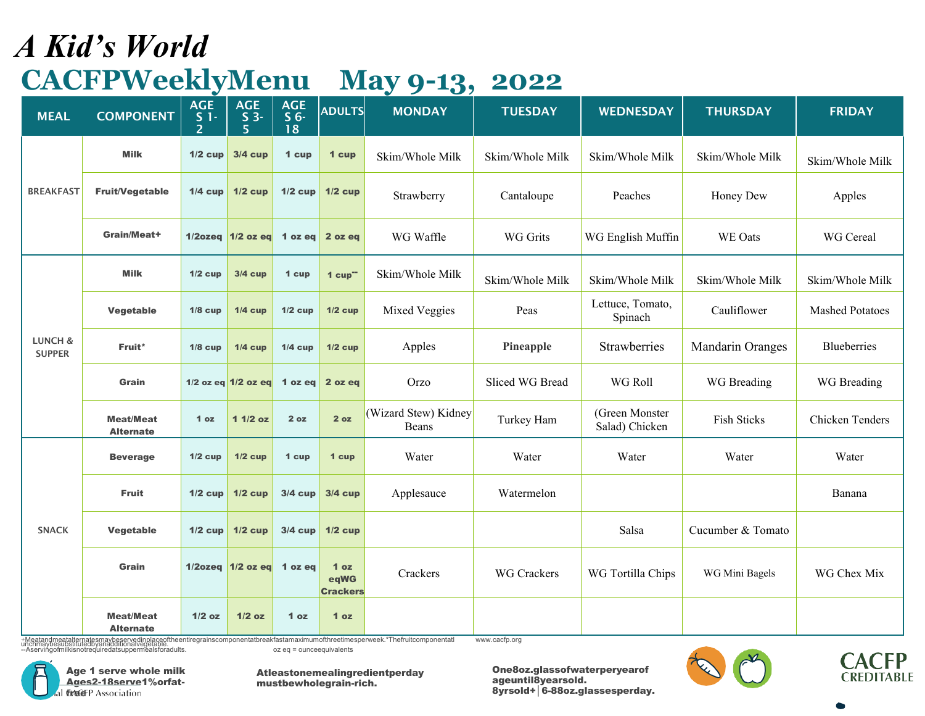#### *A Kid's World* **CACFPWeeklyMenu May 9-13, 2022**

| <b>MEAL</b>              | <b>COMPONENT</b>                     | $\bullet$<br><b>AGE</b><br>$S1-$<br>$\overline{\phantom{a}}$ | <b>AGE</b><br>$S_3$<br>$5 \,$ | <b>AGE</b><br>S <sub>6</sub><br>18 | <b>ADULTS</b>                              | $\bullet$<br><b>MONDAY</b>    | <b>TUESDAY</b>     | <b>WEDNESDAY</b>                 | <b>THURSDAY</b>    | <b>FRIDAY</b>          |
|--------------------------|--------------------------------------|--------------------------------------------------------------|-------------------------------|------------------------------------|--------------------------------------------|-------------------------------|--------------------|----------------------------------|--------------------|------------------------|
|                          | <b>Milk</b>                          | $1/2$ cup                                                    | <b>3/4 cup</b>                | 1 cup                              | 1 cup                                      | Skim/Whole Milk               | Skim/Whole Milk    | Skim/Whole Milk                  | Skim/Whole Milk    | Skim/Whole Milk        |
| <b>BREAKFAST</b>         | <b>Fruit/Vegetable</b>               | $1/4$ cup                                                    | $1/2$ cup                     | $1/2$ cup                          | $1/2$ cup                                  | Strawberry                    | Cantaloupe         | Peaches                          | Honey Dew          | Apples                 |
|                          | Grain/Meat+                          |                                                              | $1/2$ ozeq $1/2$ ozeq         | 1 oz eq                            | 2 oz eq                                    | WG Waffle                     | <b>WG Grits</b>    | WG English Muffin                | WE Oats            | WG Cereal              |
|                          | <b>Milk</b>                          | $1/2$ cup                                                    | $3/4$ cup                     | 1 cup                              | $1$ cup <sup>--</sup>                      | Skim/Whole Milk               | Skim/Whole Milk    | Skim/Whole Milk                  | Skim/Whole Milk    | Skim/Whole Milk        |
| LUNCH &<br><b>SUPPER</b> | Vegetable                            | $1/8$ cup                                                    | $1/4$ cup                     | $1/2$ cup                          | $1/2$ cup                                  | Mixed Veggies                 | Peas               | Lettuce, Tomato,<br>Spinach      | Cauliflower        | <b>Mashed Potatoes</b> |
|                          | Fruit*                               | $1/8$ cup                                                    | $1/4$ cup                     | $1/4$ cup                          | $1/2$ cup                                  | Apples                        | Pineapple          | Strawberries                     | Mandarin Oranges   | <b>Blueberries</b>     |
|                          | Grain                                |                                                              | 1/2 oz eq $1/2$ oz eq         | 1 oz eq                            | 2 oz eq                                    | Orzo                          | Sliced WG Bread    | WG Roll                          | WG Breading        | WG Breading            |
|                          | <b>Meat/Meat</b><br><b>Alternate</b> | 1 <sub>oz</sub>                                              | $11/2$ oz                     | 2 oz                               | 2 oz                                       | (Wizard Stew) Kidney<br>Beans | Turkey Ham         | (Green Monster<br>Salad) Chicken | <b>Fish Sticks</b> | <b>Chicken Tenders</b> |
|                          | <b>Beverage</b>                      | $1/2$ cup                                                    | $1/2$ cup                     | 1 cup                              | 1 cup                                      | Water                         | Water              | Water                            | Water              | Water                  |
|                          | <b>Fruit</b>                         | $1/2$ cup                                                    | $1/2$ cup                     | $3/4$ cup                          | $3/4$ cup                                  | Applesauce                    | Watermelon         |                                  |                    | Banana                 |
| <b>SNACK</b>             | Vegetable                            |                                                              | $1/2$ cup $1/2$ cup           | $3/4$ cup                          | $1/2$ cup                                  |                               |                    | Salsa                            | Cucumber & Tomato  |                        |
|                          | Grain                                |                                                              | 1/2ozeq $1/2$ oz eq 1 oz eq   |                                    | 1 <sub>oz</sub><br>eqWG<br><b>Crackers</b> | Crackers                      | <b>WG Crackers</b> | WG Tortilla Chips                | WG Mini Bagels     | WG Chex Mix            |
|                          | <b>Meat/Meat</b><br><b>Alternate</b> | $1/2$ oz                                                     | $1/2$ oz                      | 1 <sub>oz</sub>                    | 1 <sub>oz</sub>                            |                               |                    |                                  |                    |                        |

+Meatandmeatalternatesmaybeservedinplaceoftheentiregrainscomponentatbreakfastamaximumofthreetimesperweek.\*Thefruitcomponentatl<br>unchmaybesubstitutedbyanadditionalvegetable.<br>--Aservingoimilkisnotrequiredatsuppermealsforadult

[www.cacfp.org](http://www.cacfp.org/)



Atleastonemealingredientperday mustbewholegrain-rich.



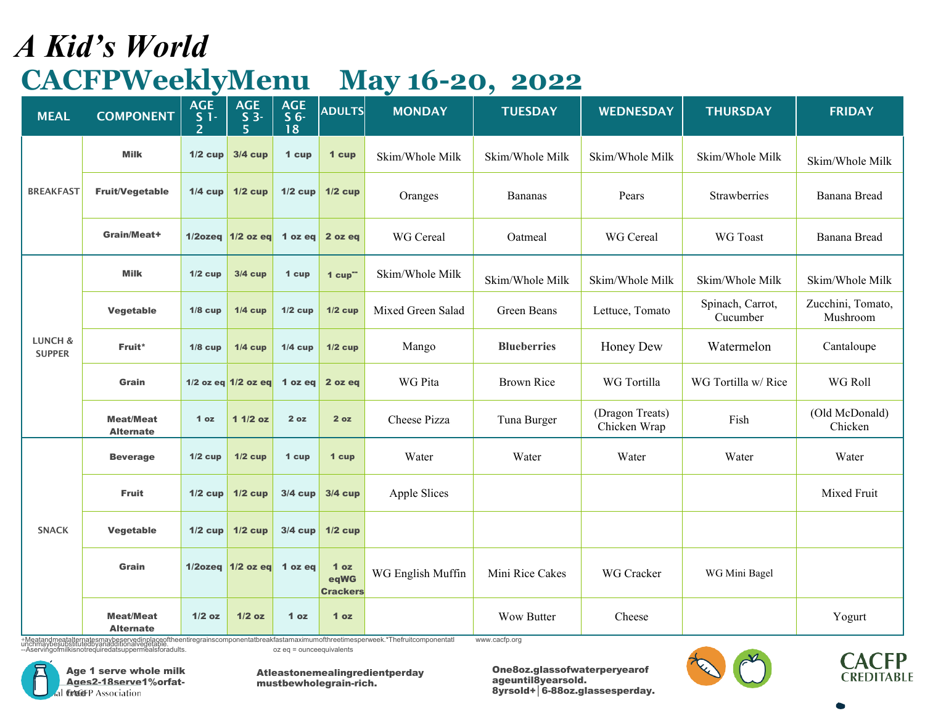## *A Kid's World* **CACFPWeeklyMenu May 16-20, 2022**

| <b>MEAL</b>              | <b>COMPONENT</b>                     | <b>AGE</b><br>$\frac{S}{2}$ 1 - | <b>AGE</b><br>$S$ 3-<br>5   | <b>AGE</b><br>S <sub>6</sub><br>18 | <b>ADULTS</b>                              | <b>MONDAY</b>     | <b>TUESDAY</b>     | <b>WEDNESDAY</b>                | <b>THURSDAY</b>              | <b>FRIDAY</b>                 |
|--------------------------|--------------------------------------|---------------------------------|-----------------------------|------------------------------------|--------------------------------------------|-------------------|--------------------|---------------------------------|------------------------------|-------------------------------|
|                          | <b>Milk</b>                          | $1/2$ cup                       | $3/4$ cup                   | 1 cup                              | 1 cup                                      | Skim/Whole Milk   | Skim/Whole Milk    | Skim/Whole Milk                 | Skim/Whole Milk              | Skim/Whole Milk               |
| <b>BREAKFAST</b>         | <b>Fruit/Vegetable</b>               |                                 | $1/4$ cup $1/2$ cup         | $1/2$ cup                          | $1/2$ cup                                  | Oranges           | <b>Bananas</b>     | Pears                           | Strawberries                 | Banana Bread                  |
|                          | Grain/Meat+                          |                                 | 1/2ozeq 1/2 oz eq           | 1 oz eq                            | 2 oz eq                                    | WG Cereal         | Oatmeal            | WG Cereal                       | WG Toast                     | Banana Bread                  |
|                          | <b>Milk</b>                          | $1/2$ cup                       | <b>3/4 cup</b>              | 1 cup                              | $1$ cup <sup>--</sup>                      | Skim/Whole Milk   | Skim/Whole Milk    | Skim/Whole Milk                 | Skim/Whole Milk              | Skim/Whole Milk               |
|                          | Vegetable                            | $1/8$ cup                       | $1/4$ cup                   | $1/2$ cup                          | $1/2$ cup                                  | Mixed Green Salad | Green Beans        | Lettuce, Tomato                 | Spinach, Carrot,<br>Cucumber | Zucchini, Tomato,<br>Mushroom |
| LUNCH &<br><b>SUPPER</b> | Fruit*                               | $1/8$ cup                       | $1/4$ cup                   | $1/4$ cup                          | $1/2$ cup                                  | Mango             | <b>Blueberries</b> | Honey Dew                       | Watermelon                   | Cantaloupe                    |
|                          | Grain                                |                                 | 1/2 oz eq $1/2$ oz eq       | 1 oz eq                            | 2 oz eq                                    | WG Pita           | <b>Brown Rice</b>  | WG Tortilla                     | WG Tortilla w/ Rice          | WG Roll                       |
|                          | <b>Meat/Meat</b><br><b>Alternate</b> | 1 <sub>oz</sub>                 | $11/2$ oz                   | 2 oz                               | 2 oz                                       | Cheese Pizza      | Tuna Burger        | (Dragon Treats)<br>Chicken Wrap | Fish                         | (Old McDonald)<br>Chicken     |
|                          | <b>Beverage</b>                      | $1/2$ cup                       | $1/2$ cup                   | 1 cup                              | 1 cup                                      | Water             | Water              | Water                           | Water                        | Water                         |
|                          | <b>Fruit</b>                         | $1/2$ cup                       | $1/2$ cup                   | $3/4$ cup                          | $3/4$ cup                                  | Apple Slices      |                    |                                 |                              | Mixed Fruit                   |
| <b>SNACK</b>             | Vegetable                            | $1/2$ cup                       | $1/2$ cup                   | $3/4$ cup                          | $1/2$ cup                                  |                   |                    |                                 |                              |                               |
|                          | Grain                                |                                 | 1/2ozeq $1/2$ oz eq 1 oz eq |                                    | 1 <sub>oz</sub><br>eqWG<br><b>Crackers</b> | WG English Muffin | Mini Rice Cakes    | <b>WG</b> Cracker               | WG Mini Bagel                |                               |
|                          | <b>Meat/Meat</b><br><b>Alternate</b> | $1/2$ oz                        | $1/2$ oz                    | 1 <sub>oz</sub>                    | 1 <sub>oz</sub>                            |                   | <b>Wow Butter</b>  | Cheese                          |                              | Yogurt                        |

+Meatandmeatalternatesmaybeservedinplaceoftheentiregrainscomponentatbreakfastamaximumofthreetimesperweek.\*Thefruitcomponentatl<br>unchmaybesubstitutedbyanadditionalvegetable.<br>--Aservingoimilkisnotrequiredatsuppermealsforadult [www.cacfp.org](http://www.cacfp.org/)





Atleastonemealingredientperday mustbewholegrain-rich.



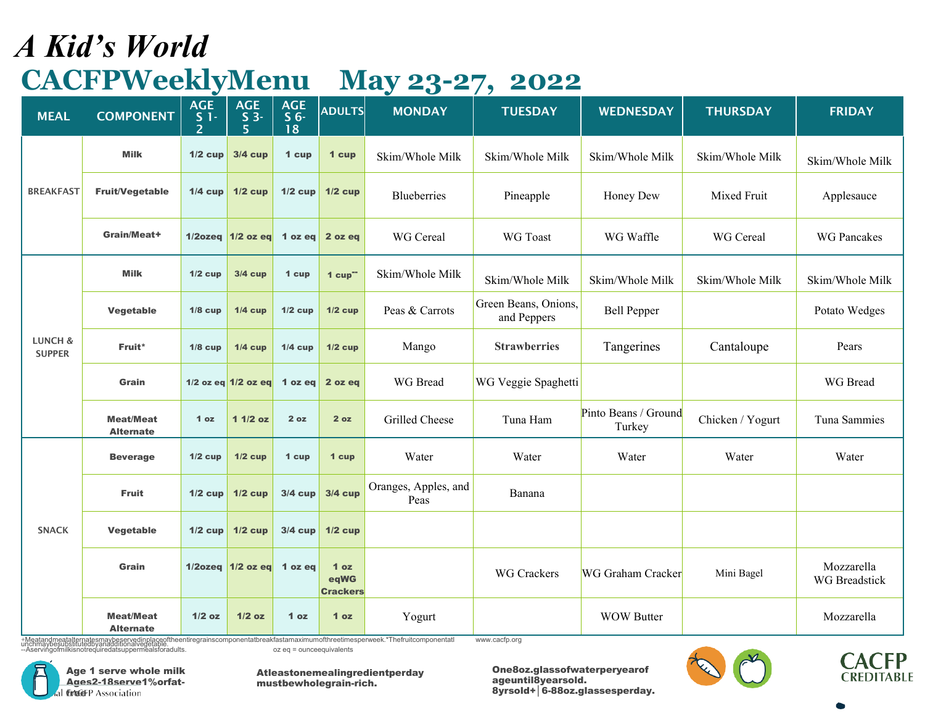## *A Kid's World* **CACFPWeeklyMenu May 23-27, 2022**

| <b>MEAL</b>                         | <b>COMPONENT</b>                                                                                                                                                       | $\bullet$<br><b>AGE</b><br>$S1-$<br>$\overline{\phantom{a}}$ | <b>AGE</b><br>$S_3$<br>5 | <b>AGE</b><br>S <sub>6</sub><br>18 | <b>ADULTS</b>                              | $\tilde{\phantom{a}}$<br><b>MONDAY</b> | $\prime$<br><b>TUESDAY</b>          | <b>WEDNESDAY</b>               | <b>THURSDAY</b>  | <b>FRIDAY</b>               |
|-------------------------------------|------------------------------------------------------------------------------------------------------------------------------------------------------------------------|--------------------------------------------------------------|--------------------------|------------------------------------|--------------------------------------------|----------------------------------------|-------------------------------------|--------------------------------|------------------|-----------------------------|
|                                     | <b>Milk</b>                                                                                                                                                            | $1/2$ cup                                                    | $3/4$ cup                | 1 cup                              | 1 cup                                      | Skim/Whole Milk                        | Skim/Whole Milk                     | Skim/Whole Milk                | Skim/Whole Milk  | Skim/Whole Milk             |
| <b>BREAKFAST</b>                    | <b>Fruit/Vegetable</b>                                                                                                                                                 | $1/4$ cup                                                    | $1/2$ cup                | $1/2$ cup                          | $1/2$ cup                                  | Blueberries                            | Pineapple                           | Honey Dew                      | Mixed Fruit      | Applesauce                  |
|                                     | Grain/Meat+                                                                                                                                                            |                                                              | $1/2$ ozeq $1/2$ oz eq   | 1 oz eq $ $                        | 2 oz eq                                    | WG Cereal                              | WG Toast                            | WG Waffle                      | WG Cereal        | <b>WG Pancakes</b>          |
|                                     | <b>Milk</b>                                                                                                                                                            | $1/2$ cup                                                    | <b>3/4 cup</b>           | 1 cup                              | $1$ cup <sup>--</sup>                      | Skim/Whole Milk                        | Skim/Whole Milk                     | Skim/Whole Milk                | Skim/Whole Milk  | Skim/Whole Milk             |
|                                     | Vegetable                                                                                                                                                              | $1/8$ cup                                                    | $1/4$ cup                | $1/2$ cup                          | $1/2$ cup                                  | Peas & Carrots                         | Green Beans, Onions,<br>and Peppers | <b>Bell Pepper</b>             |                  | Potato Wedges               |
| <b>LUNCH &amp;</b><br><b>SUPPER</b> | Fruit*                                                                                                                                                                 | $1/8$ cup                                                    | $1/4$ cup                | $1/4$ cup                          | $1/2$ cup                                  | Mango                                  | <b>Strawberries</b>                 | Tangerines                     | Cantaloupe       | Pears                       |
|                                     | <b>Grain</b>                                                                                                                                                           |                                                              | $1/2$ oz eq $1/2$ oz eq  | 1 oz eq                            | 2 oz eq                                    | WG Bread                               | WG Veggie Spaghetti                 |                                |                  | WG Bread                    |
|                                     | <b>Meat/Meat</b><br><b>Alternate</b>                                                                                                                                   | 1 <sub>oz</sub>                                              | $11/2$ oz                | 2 oz                               | 2 oz                                       | Grilled Cheese                         | Tuna Ham                            | Pinto Beans / Ground<br>Turkey | Chicken / Yogurt | Tuna Sammies                |
|                                     | <b>Beverage</b>                                                                                                                                                        | $1/2$ cup                                                    | $1/2$ cup                | 1 cup                              | 1 cup                                      | Water                                  | Water                               | Water                          | Water            | Water                       |
|                                     | <b>Fruit</b>                                                                                                                                                           | $1/2$ cup                                                    | $1/2$ cup                | $3/4$ cup                          | <b>3/4 cup</b>                             | Oranges, Apples, and<br>Peas           | Banana                              |                                |                  |                             |
| <b>SNACK</b>                        | Vegetable                                                                                                                                                              | $1/2$ cup                                                    | $1/2$ cup                | $3/4$ cup                          | $1/2$ cup                                  |                                        |                                     |                                |                  |                             |
|                                     | Grain                                                                                                                                                                  |                                                              | $1/2$ ozeq $1/2$ oz eq   | 1 oz eq                            | 1 <sub>oz</sub><br>eqWG<br><b>Crackers</b> |                                        | <b>WG Crackers</b>                  | <b>WG Graham Cracker</b>       | Mini Bagel       | Mozzarella<br>WG Breadstick |
|                                     | <b>Meat/Meat</b><br><b>Alternate</b><br>+Meatandmeatalternatesmaybeservedinplaceoftheentiregrainscomponentatbreakfastamaximumofthreetimesperweek.*Thefruitcomponentatl | $1/2$ oz                                                     | $1/2$ oz                 | 1 <sub>oz</sub>                    | 1 <sub>oz</sub>                            | Yogurt                                 | www.cacfp.org                       | <b>WOW Butter</b>              |                  | Mozzarella                  |

+Meatandmeatalternatesmaybeservedinplaceoftheentiregrainscomponentatbreakfastamaximumofthreetimesperweek.\*Thefruitcomponentatl<br>unchmaybesubstitutedbyanadditionalvegetable.<br>--Aservingoimilkisnotrequiredatsuppermealsforadult

Age 1 serve whole milk Ages2-18serve1%orfat-GAGEP Association

Atleastonemealingredientperday mustbewholegrain-rich.



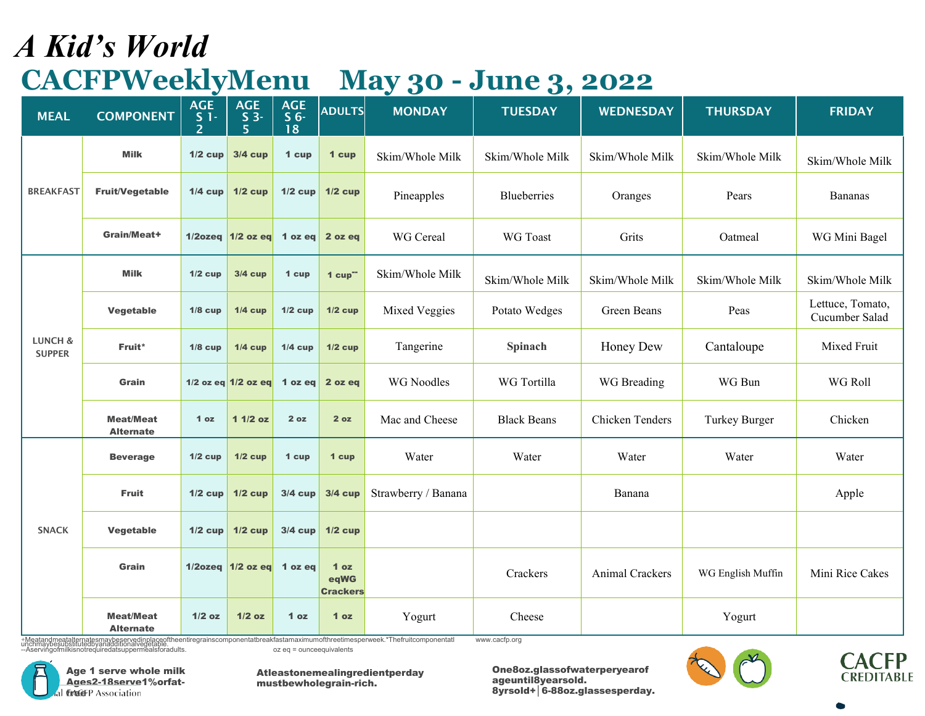## *A Kid's World* **CACFPWeeklyMenu May 30 - June 3, 2022**

| <b>MEAL</b>              | <b>COMPONENT</b>                     | <b>AGE</b><br>S <sub>1</sub><br>$\overline{2}$ | <b>AGE</b><br>$S_3$<br>5       | <b>AGE</b><br>S <sub>6</sub><br>18 | <b>ADULTS</b>                              | $\sim$<br><b>MONDAY</b> | - 1<br><b>TUESDAY</b> | <b>WEDNESDAY</b> | <b>THURSDAY</b>   | <b>FRIDAY</b>                      |
|--------------------------|--------------------------------------|------------------------------------------------|--------------------------------|------------------------------------|--------------------------------------------|-------------------------|-----------------------|------------------|-------------------|------------------------------------|
|                          | <b>Milk</b>                          | $1/2$ cup                                      | $3/4$ cup                      | 1 cup                              | 1 cup                                      | Skim/Whole Milk         | Skim/Whole Milk       | Skim/Whole Milk  | Skim/Whole Milk   | Skim/Whole Milk                    |
| <b>BREAKFAST</b>         | <b>Fruit/Vegetable</b>               |                                                | $1/4$ cup $1/2$ cup            | $1/2$ cup                          | $1/2$ cup                                  | Pineapples              | <b>Blueberries</b>    | Oranges          | Pears             | Bananas                            |
|                          | Grain/Meat+                          |                                                | $1/2$ ozeg $1/2$ ozeg 1 ozeg   |                                    | 2 oz eq                                    | WG Cereal               | WG Toast              | Grits            | Oatmeal           | WG Mini Bagel                      |
|                          | <b>Milk</b>                          | $1/2$ cup                                      | $3/4$ cup                      | 1 cup                              | $1 cup^-$                                  | Skim/Whole Milk         | Skim/Whole Milk       | Skim/Whole Milk  | Skim/Whole Milk   | Skim/Whole Milk                    |
|                          | Vegetable                            | $1/8$ cup                                      | $1/4$ cup                      | $1/2$ cup                          | $1/2$ cup                                  | Mixed Veggies           | Potato Wedges         | Green Beans      | Peas              | Lettuce, Tomato,<br>Cucumber Salad |
| LUNCH &<br><b>SUPPER</b> | Fruit*                               | $1/8$ cup                                      | $1/4$ cup                      | $1/4$ cup                          | $1/2$ cup                                  | Tangerine               | Spinach               | Honey Dew        | Cantaloupe        | Mixed Fruit                        |
|                          | Grain                                |                                                | 1/2 oz eq $1/2$ oz eq          | 1 oz eq                            | 2 oz eq                                    | <b>WG</b> Noodles       | WG Tortilla           | WG Breading      | WG Bun            | WG Roll                            |
|                          | <b>Meat/Meat</b><br><b>Alternate</b> | 1 <sub>oz</sub>                                | $11/2$ oz                      | 2 oz                               | 2 oz                                       | Mac and Cheese          | <b>Black Beans</b>    | Chicken Tenders  | Turkey Burger     | Chicken                            |
|                          | <b>Beverage</b>                      | $1/2$ cup                                      | $1/2$ cup                      | 1 cup                              | 1 cup                                      | Water                   | Water                 | Water            | Water             | Water                              |
|                          | <b>Fruit</b>                         | $1/2$ cup                                      | $1/2$ cup                      | $3/4$ cup                          | <b>3/4 cup</b>                             | Strawberry / Banana     |                       | Banana           |                   | Apple                              |
| <b>SNACK</b>             | Vegetable                            | $1/2$ cup                                      | $1/2$ cup                      | $3/4$ cup                          | $1/2$ cup                                  |                         |                       |                  |                   |                                    |
|                          | Grain                                |                                                | $1/2$ ozeq $1/2$ oz eq 1 oz eq |                                    | 1 <sub>oz</sub><br>eqWG<br><b>Crackers</b> |                         | Crackers              | Animal Crackers  | WG English Muffin | Mini Rice Cakes                    |
|                          | <b>Meat/Meat</b><br><b>Alternate</b> | $1/2$ oz                                       | $1/2$ oz                       | 1 <sub>oz</sub>                    | 1 <sub>oz</sub>                            | Yogurt                  | Cheese                |                  | Yogurt            |                                    |

+Meatandmeatalternatesmaybeservedinplaceoftheentiregrainscomponentatbreakfastamaximumofthreetimesperweek.\*Thefruitcomponentatl<br>unchmaybesubstitutedbyanadditionalvegetable.<br>--Aservingoimilkisnotrequiredatsuppermealsforadult [www.cacfp.org](http://www.cacfp.org/)





Atleastonemealingredientperday mustbewholegrain-rich.



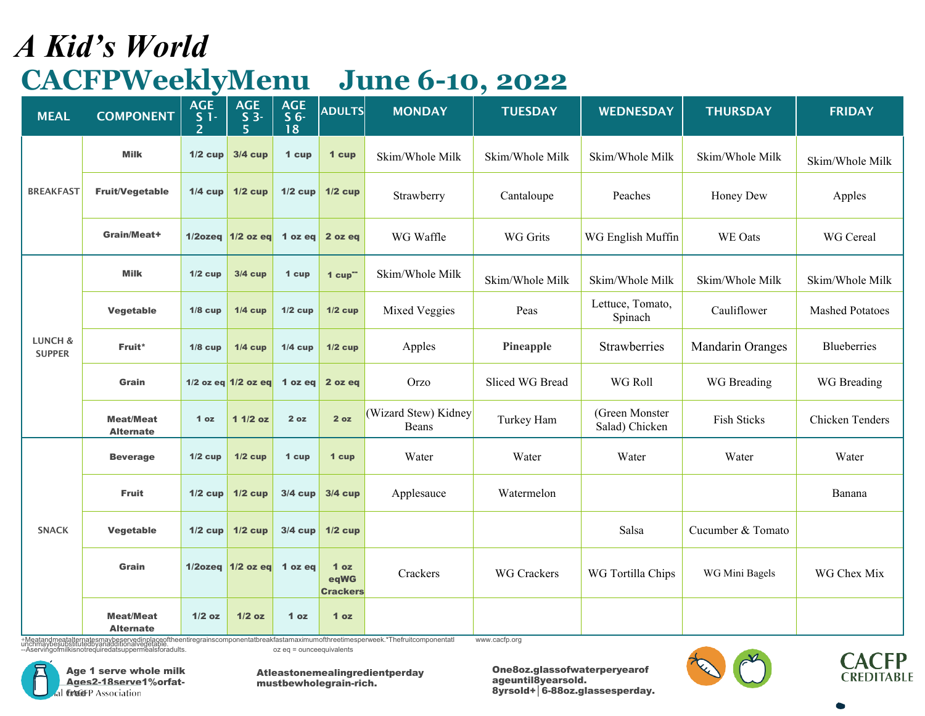## *A Kid's World* **CACFPWeeklyMenu June 6-10, 2022**

| <b>MEAL</b>                         | <b>COMPONENT</b>                     | <b>AGE</b><br>$\frac{S}{2}$ 1 - | <b>AGE</b><br>$S_3$<br>5       | <b>AGE</b><br>S <sub>6</sub><br>18 | <b>ADULTS</b>                              | <b>MONDAY</b>                 | <b>TUESDAY</b>     | <b>WEDNESDAY</b>                 | <b>THURSDAY</b>   | <b>FRIDAY</b>          |
|-------------------------------------|--------------------------------------|---------------------------------|--------------------------------|------------------------------------|--------------------------------------------|-------------------------------|--------------------|----------------------------------|-------------------|------------------------|
|                                     | <b>Milk</b>                          | $1/2$ cup                       | <b>3/4 cup</b>                 | 1 cup                              | 1 cup                                      | Skim/Whole Milk               | Skim/Whole Milk    | Skim/Whole Milk                  | Skim/Whole Milk   | Skim/Whole Milk        |
| <b>BREAKFAST</b>                    | <b>Fruit/Vegetable</b>               | $1/4$ cup                       | $1/2$ cup                      | $1/2$ cup                          | $1/2$ cup                                  | Strawberry                    | Cantaloupe         | Peaches                          | Honey Dew         | Apples                 |
|                                     | Grain/Meat+                          |                                 | 1/2ozeq $1/2$ oz eq 1 oz eq    |                                    | 2 oz eq                                    | WG Waffle                     | <b>WG Grits</b>    | WG English Muffin                | WE Oats           | WG Cereal              |
|                                     | <b>Milk</b>                          | $1/2$ cup                       | $3/4$ cup                      | 1 cup                              | $1$ cup"                                   | Skim/Whole Milk               | Skim/Whole Milk    | Skim/Whole Milk                  | Skim/Whole Milk   | Skim/Whole Milk        |
| <b>LUNCH &amp;</b><br><b>SUPPER</b> | Vegetable                            | $1/8$ cup                       | $1/4$ cup                      | $1/2$ cup                          | $1/2$ cup                                  | Mixed Veggies                 | Peas               | Lettuce, Tomato,<br>Spinach      | Cauliflower       | <b>Mashed Potatoes</b> |
|                                     | Fruit*                               | $1/8$ cup                       | $1/4$ cup                      | $1/4$ cup                          | $1/2$ cup                                  | Apples                        | Pineapple          | Strawberries                     | Mandarin Oranges  | <b>Blueberries</b>     |
|                                     | Grain                                |                                 | 1/2 oz eq $1/2$ oz eq          | 1 oz eq                            | 2 oz eq                                    | Orzo                          | Sliced WG Bread    | WG Roll                          | WG Breading       | WG Breading            |
|                                     | <b>Meat/Meat</b><br><b>Alternate</b> | 1 <sub>oz</sub>                 | $11/2$ oz                      | 2 oz                               | 2 oz                                       | (Wizard Stew) Kidney<br>Beans | Turkey Ham         | (Green Monster<br>Salad) Chicken | Fish Sticks       | Chicken Tenders        |
|                                     | <b>Beverage</b>                      | $1/2$ cup                       | $1/2$ cup                      | 1 cup                              | 1 cup                                      | Water                         | Water              | Water                            | Water             | Water                  |
|                                     | <b>Fruit</b>                         | $1/2$ cup                       | $1/2$ cup                      | $3/4$ cup                          | $3/4$ cup                                  | Applesauce                    | Watermelon         |                                  |                   | Banana                 |
| <b>SNACK</b>                        | Vegetable                            | $1/2$ cup                       | $1/2$ cup                      | $3/4$ cup                          | $1/2$ cup                                  |                               |                    | Salsa                            | Cucumber & Tomato |                        |
|                                     | Grain                                |                                 | $1/2$ ozeq $1/2$ oz eq 1 oz eq |                                    | 1 <sub>oz</sub><br>eqWG<br><b>Crackers</b> | Crackers                      | <b>WG</b> Crackers | WG Tortilla Chips                | WG Mini Bagels    | WG Chex Mix            |
|                                     | <b>Meat/Meat</b><br><b>Alternate</b> | $1/2$ oz                        | $1/2$ oz                       | 1 <sub>oz</sub>                    | 1 <sub>oz</sub>                            |                               |                    |                                  |                   |                        |

+Meatandmeatalternatesmaybeservedinplaceoftheentiregrainscomponentatbreakfastamaximumofthreetimesperweek.\*Thefruitcomponentatl<br>unchmaybesubstitutedbyanadditionalvegetable.<br>--Aservingoimilkisnotrequiredatsuppermealsforadult



[www.cacfp.org](http://www.cacfp.org/)



Atleastonemealingredientperday mustbewholegrain-rich.



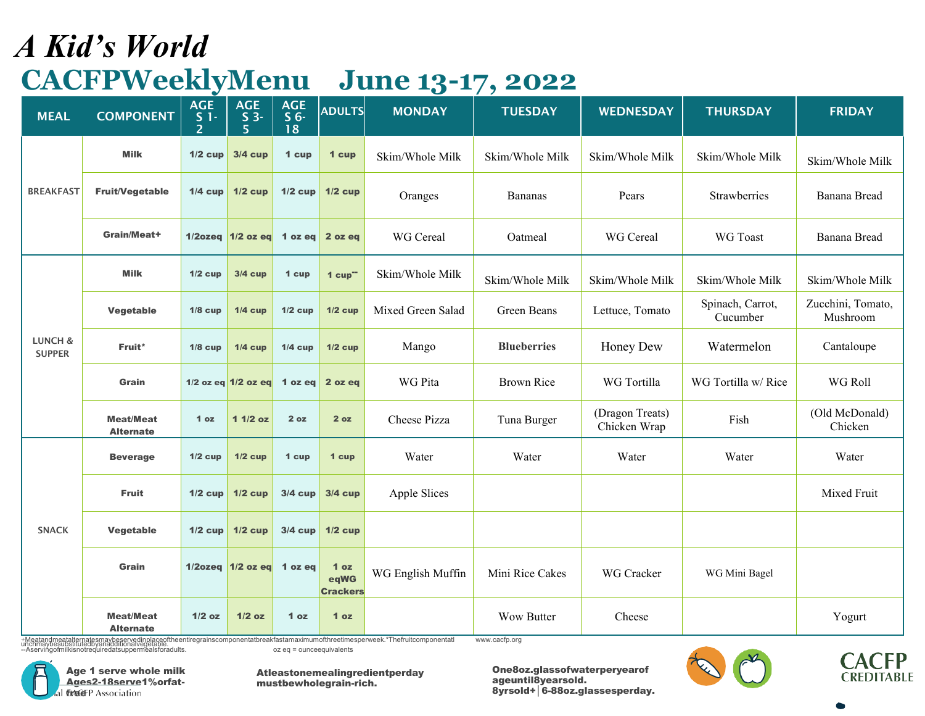# *A Kid's World* **CACFPWeeklyMenu June 13-17, 2022**

| <b>MEAL</b>                         | <b>COMPONENT</b>                     | <b>AGE</b><br>S <sub>1</sub><br>$\overline{2}$ | <b>AGE</b><br>$S_3$<br>5     | <b>AGE</b><br>S <sub>6</sub><br>18 | <b>ADULTS</b>                              | <b>MONDAY</b>     | <b>TUESDAY</b>     | <b>WEDNESDAY</b>                | <b>THURSDAY</b>              | <b>FRIDAY</b>                 |
|-------------------------------------|--------------------------------------|------------------------------------------------|------------------------------|------------------------------------|--------------------------------------------|-------------------|--------------------|---------------------------------|------------------------------|-------------------------------|
|                                     | <b>Milk</b>                          | $1/2$ cup                                      | 3/4 cup                      | 1 cup                              | 1 cup                                      | Skim/Whole Milk   | Skim/Whole Milk    | Skim/Whole Milk                 | Skim/Whole Milk              | Skim/Whole Milk               |
| <b>BREAKFAST</b>                    | <b>Fruit/Vegetable</b>               | $1/4$ cup                                      | $1/2$ cup                    | $1/2$ cup                          | $1/2$ cup                                  | Oranges           | Bananas            | Pears                           | Strawberries                 | Banana Bread                  |
|                                     | Grain/Meat+                          |                                                | $1/2$ ozeq $1/2$ oz eq       | 1 oz eq $\vert$                    | 2 oz eq                                    | WG Cereal         | Oatmeal            | WG Cereal                       | WG Toast                     | Banana Bread                  |
|                                     | <b>Milk</b>                          | $1/2$ cup                                      | $3/4$ cup                    | 1 cup                              | $1$ cup <sup>--</sup>                      | Skim/Whole Milk   | Skim/Whole Milk    | Skim/Whole Milk                 | Skim/Whole Milk              | Skim/Whole Milk               |
|                                     | Vegetable                            | $1/8$ cup                                      | $1/4$ cup                    | $1/2$ cup                          | $1/2$ cup                                  | Mixed Green Salad | Green Beans        | Lettuce, Tomato                 | Spinach, Carrot,<br>Cucumber | Zucchini, Tomato,<br>Mushroom |
| <b>LUNCH &amp;</b><br><b>SUPPER</b> | Fruit*                               | $1/8$ cup                                      | $1/4$ cup                    | $1/4$ cup                          | $1/2$ cup                                  | Mango             | <b>Blueberries</b> | Honey Dew                       | Watermelon                   | Cantaloupe                    |
|                                     | Grain                                |                                                | 1/2 oz eq $1/2$ oz eq        | 1 oz eq                            | 2 oz eq                                    | WG Pita           | <b>Brown Rice</b>  | WG Tortilla                     | WG Tortilla w/ Rice          | WG Roll                       |
|                                     | <b>Meat/Meat</b><br><b>Alternate</b> | 1 <sub>oz</sub>                                | $11/2$ oz                    | 2 oz                               | 2 <sub>oz</sub>                            | Cheese Pizza      | Tuna Burger        | (Dragon Treats)<br>Chicken Wrap | Fish                         | (Old McDonald)<br>Chicken     |
|                                     | <b>Beverage</b>                      | $1/2$ cup                                      | $1/2$ cup                    | 1 cup                              | 1 cup                                      | Water             | Water              | Water                           | Water                        | Water                         |
|                                     | <b>Fruit</b>                         | $1/2$ cup                                      | $1/2$ cup                    | $3/4$ cup                          | <b>3/4 cup</b>                             | Apple Slices      |                    |                                 |                              | Mixed Fruit                   |
| <b>SNACK</b>                        | <b>Vegetable</b>                     | $1/2$ cup                                      | $1/2$ cup                    | $3/4$ cup                          | $1/2$ cup                                  |                   |                    |                                 |                              |                               |
|                                     | Grain                                |                                                | $1/2$ ozeg $1/2$ ozeg 1 ozeg |                                    | 1 <sub>oz</sub><br>eqWG<br><b>Crackers</b> | WG English Muffin | Mini Rice Cakes    | WG Cracker                      | WG Mini Bagel                |                               |
|                                     | <b>Meat/Meat</b><br><b>Alternate</b> | $1/2$ oz                                       | $1/2$ oz                     | 1 <sub>oz</sub>                    | 1 <sub>oz</sub>                            |                   | <b>Wow Butter</b>  | Cheese                          |                              | Yogurt                        |

+Meatandmeatalternatesmaybeservedinplaceoftheentiregrainscomponentatbreakfastamaximumofthreetimesperweek.\*Thefruitcomponentatl<br>unchmaybesubstitutedbyanadditionalvegetable.<br>--Aservingoimilkisnotrequiredatsuppermealsforadult



[www.cacfp.org](http://www.cacfp.org/)



Atleastonemealingredientperday mustbewholegrain-rich.



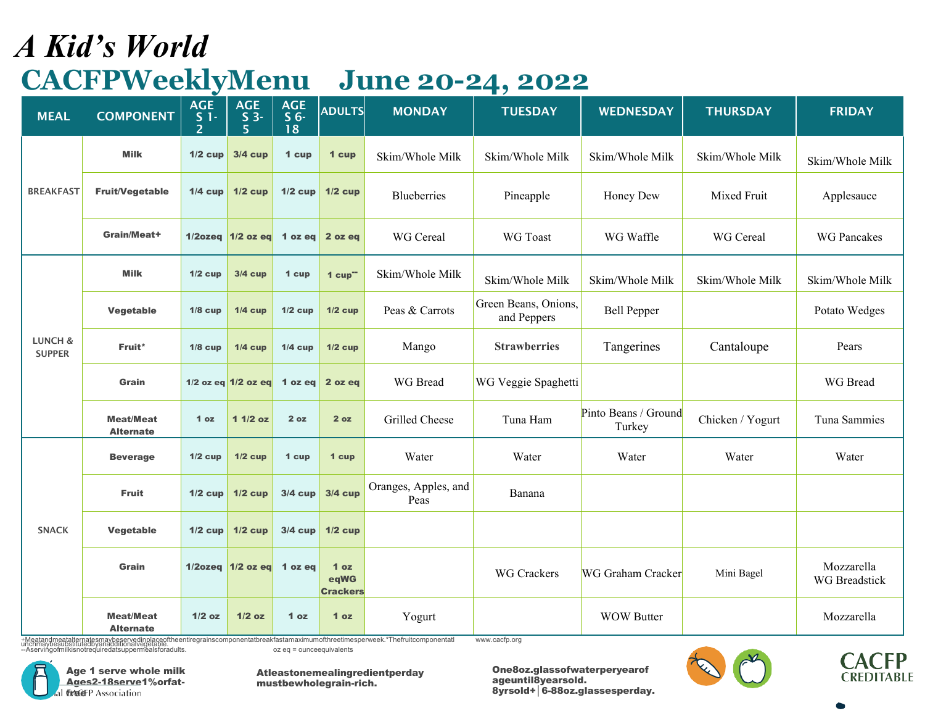# *A Kid's World* **CACFPWeeklyMenu**

|  | <b>June 20-24, 2022</b> |  |
|--|-------------------------|--|
|  |                         |  |

| <b>MEAL</b>              | <b>COMPONENT</b>                     | <b>AGE</b><br>S <sub>1</sub><br>$\overline{2}$ | <b>AGE</b><br>S <sub>3</sub><br>5 <sup>1</sup> | <b>AGE</b><br>S <sub>6</sub><br>18 | <b>ADULTS</b>                              | <b>MONDAY</b>                | <b>TUESDAY</b>                      | <b>WEDNESDAY</b>               | <b>THURSDAY</b>  | <b>FRIDAY</b>               |
|--------------------------|--------------------------------------|------------------------------------------------|------------------------------------------------|------------------------------------|--------------------------------------------|------------------------------|-------------------------------------|--------------------------------|------------------|-----------------------------|
|                          | <b>Milk</b>                          | $1/2$ cup                                      | <b>3/4 cup</b>                                 | 1 cup                              | 1 cup                                      | Skim/Whole Milk              | Skim/Whole Milk                     | Skim/Whole Milk                | Skim/Whole Milk  | Skim/Whole Milk             |
| <b>BREAKFAST</b>         | <b>Fruit/Vegetable</b>               | $1/4$ cup                                      | $1/2$ cup                                      | $1/2$ cup                          | $1/2$ cup                                  | Blueberries                  | Pineapple                           | Honey Dew                      | Mixed Fruit      | Applesauce                  |
|                          | Grain/Meat+                          |                                                | 1/2ozeq $1/2$ oz eq 1 oz eq                    |                                    | 2 oz eq                                    | WG Cereal                    | WG Toast                            | WG Waffle                      | WG Cereal        | <b>WG Pancakes</b>          |
|                          | <b>Milk</b>                          | $1/2$ cup                                      | $3/4$ cup                                      | 1 cup                              | $1$ cup <sup>--</sup>                      | Skim/Whole Milk              | Skim/Whole Milk                     | Skim/Whole Milk                | Skim/Whole Milk  | Skim/Whole Milk             |
|                          | Vegetable                            | $1/8$ cup                                      | $1/4$ cup                                      | $1/2$ cup                          | $1/2$ cup                                  | Peas & Carrots               | Green Beans, Onions,<br>and Peppers | <b>Bell Pepper</b>             |                  | Potato Wedges               |
| LUNCH &<br><b>SUPPER</b> | Fruit*                               | $1/8$ cup                                      | $1/4$ cup                                      | $1/4$ cup                          | $1/2$ cup                                  | Mango                        | <b>Strawberries</b>                 | Tangerines                     | Cantaloupe       | Pears                       |
|                          | Grain                                |                                                | 1/2 oz eq $1/2$ oz eq 1 oz eq                  |                                    | 2 oz eq                                    | WG Bread                     | WG Veggie Spaghetti                 |                                |                  | WG Bread                    |
|                          | <b>Meat/Meat</b><br><b>Alternate</b> | 1 <sub>oz</sub>                                | $11/2$ oz                                      | 2 oz                               | 2 oz                                       | Grilled Cheese               | Tuna Ham                            | Pinto Beans / Ground<br>Turkey | Chicken / Yogurt | Tuna Sammies                |
|                          | <b>Beverage</b>                      | $1/2$ cup                                      | $1/2$ cup                                      | 1 cup                              | 1 cup                                      | Water                        | Water                               | Water                          | Water            | Water                       |
|                          | <b>Fruit</b>                         | $1/2$ cup                                      | $1/2$ cup                                      | $3/4$ cup                          | $3/4$ cup                                  | Oranges, Apples, and<br>Peas | Banana                              |                                |                  |                             |
| <b>SNACK</b>             | Vegetable                            | $1/2$ cup                                      | $1/2$ cup                                      | $3/4$ cup                          | $1/2$ cup                                  |                              |                                     |                                |                  |                             |
|                          | Grain                                |                                                | $1/2$ ozeq $1/2$ oz eq 1 oz eq                 |                                    | 1 <sub>oz</sub><br>eqWG<br><b>Crackers</b> |                              | <b>WG Crackers</b>                  | <b>WG Graham Cracker</b>       | Mini Bagel       | Mozzarella<br>WG Breadstick |
|                          | <b>Meat/Meat</b><br><b>Alternate</b> | $1/2$ oz                                       | $1/2$ oz                                       | 1 <sub>oz</sub>                    | 1 <sub>oz</sub>                            | Yogurt                       |                                     | <b>WOW Butter</b>              |                  | Mozzarella                  |

+Meatandmeatalternatesmaybeservedinplaceoftheentiregrainscomponentatbreakfastamaximumofthreetimesperweek.\*Thefruitcomponentatl<br>unchmaybesubstitutedbyanadditionalvegetable.<br>--Aservingoimilkisnotrequiredatsuppermealsforadult [www.cacfp.org](http://www.cacfp.org/)



Age 1 serve whole milk Ages2-18serve1%orfat-GAGEP Association

Atleastonemealingredientperday mustbewholegrain-rich.

One8oz.glassofwaterperyearof ageuntil8yearsold. 8yrsold+│6-88oz.glassesperday.





 $\bullet$